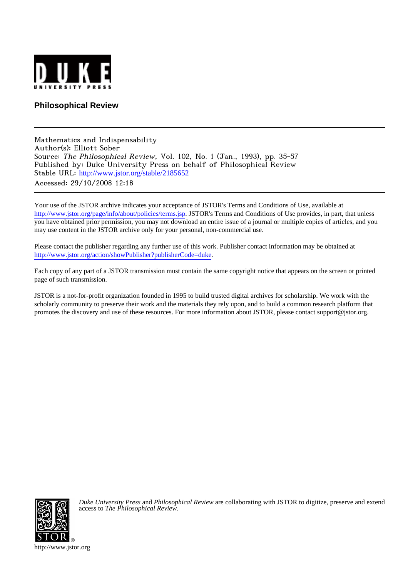

## **Philosophical Review**

Mathematics and Indispensability Author(s): Elliott Sober Source: The Philosophical Review, Vol. 102, No. 1 (Jan., 1993), pp. 35-57 Published by: Duke University Press on behalf of Philosophical Review Stable URL: [http://www.jstor.org/stable/2185652](http://www.jstor.org/stable/2185652?origin=JSTOR-pdf) Accessed: 29/10/2008 12:18

Your use of the JSTOR archive indicates your acceptance of JSTOR's Terms and Conditions of Use, available at <http://www.jstor.org/page/info/about/policies/terms.jsp>. JSTOR's Terms and Conditions of Use provides, in part, that unless you have obtained prior permission, you may not download an entire issue of a journal or multiple copies of articles, and you may use content in the JSTOR archive only for your personal, non-commercial use.

Please contact the publisher regarding any further use of this work. Publisher contact information may be obtained at <http://www.jstor.org/action/showPublisher?publisherCode=duke>.

Each copy of any part of a JSTOR transmission must contain the same copyright notice that appears on the screen or printed page of such transmission.

JSTOR is a not-for-profit organization founded in 1995 to build trusted digital archives for scholarship. We work with the scholarly community to preserve their work and the materials they rely upon, and to build a common research platform that promotes the discovery and use of these resources. For more information about JSTOR, please contact support@jstor.org.



*Duke University Press* and *Philosophical Review* are collaborating with JSTOR to digitize, preserve and extend access to *The Philosophical Review.*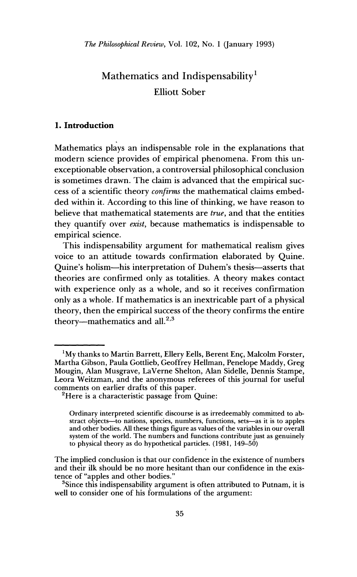# Mathematics and Indispensability<sup>1</sup> **Elliott Sober**

## 1. Introduction

Mathematics plays an indispensable role in the explanations that modern science provides of empirical phenomena. From this unexceptionable observation, a controversial philosophical conclusion is sometimes drawn. The claim is advanced that the empirical success of a scientific theory confirms the mathematical claims embedded within it. According to this line of thinking, we have reason to believe that mathematical statements are true, and that the entities they quantify over *exist*, because mathematics is indispensable to empirical science.

This indispensability argument for mathematical realism gives voice to an attitude towards confirmation elaborated by Quine. Ouine's holism—his interpretation of Duhem's thesis—asserts that theories are confirmed only as totalities. A theory makes contact with experience only as a whole, and so it receives confirmation only as a whole. If mathematics is an inextricable part of a physical theory, then the empirical success of the theory confirms the entire theory-mathematics and all.<sup>2,3</sup>

<sup>&</sup>lt;sup>1</sup>My thanks to Martin Barrett, Ellery Eells, Berent Enc, Malcolm Forster, Martha Gibson, Paula Gottlieb, Geoffrey Hellman, Penelope Maddy, Greg Mougin, Alan Musgrave, LaVerne Shelton, Alan Sidelle, Dennis Stampe, Leora Weitzman, and the anonymous referees of this journal for useful comments on earlier drafts of this paper.

<sup>&</sup>lt;sup>2</sup>Here is a characteristic passage from Quine:

Ordinary interpreted scientific discourse is as irredeemably committed to abstract objects—to nations, species, numbers, functions, sets—as it is to apples and other bodies. All these things figure as values of the variables in our overall system of the world. The numbers and functions contribute just as genuinely to physical theory as do hypothetical particles. (1981, 149-50)

The implied conclusion is that our confidence in the existence of numbers and their ilk should be no more hesitant than our confidence in the existence of "apples and other bodies."

<sup>&</sup>lt;sup>3</sup>Since this indispensability argument is often attributed to Putnam, it is well to consider one of his formulations of the argument: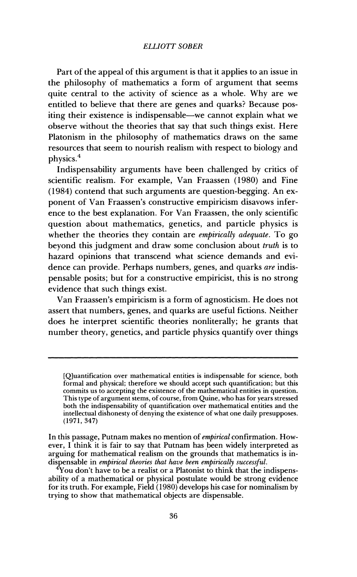Part of the appeal of this argument is that it applies to an issue in the philosophy of mathematics a form of argument that seems quite central to the activity of science as a whole. Why are we entitled to believe that there are genes and quarks? Because positing their existence is indispensable—we cannot explain what we observe without the theories that say that such things exist. Here Platonism in the philosophy of mathematics draws on the same resources that seem to nourish realism with respect to biology and physics.<sup>4</sup>

Indispensability arguments have been challenged by critics of scientific realism. For example, Van Fraassen (1980) and Fine (1984) contend that such arguments are question-begging. An exponent of Van Fraassen's constructive empiricism disavows inference to the best explanation. For Van Fraassen, the only scientific question about mathematics, genetics, and particle physics is whether the theories they contain are empirically adequate. To go beyond this judgment and draw some conclusion about truth is to hazard opinions that transcend what science demands and evidence can provide. Perhaps numbers, genes, and quarks are indispensable posits; but for a constructive empiricist, this is no strong evidence that such things exist.

Van Fraassen's empiricism is a form of agnosticism. He does not assert that numbers, genes, and quarks are useful fictions. Neither does he interpret scientific theories nonliterally; he grants that number theory, genetics, and particle physics quantify over things

<sup>[</sup>Q]uantification over mathematical entities is indispensable for science, both formal and physical; therefore we should accept such quantification; but this commits us to accepting the existence of the mathematical entities in question. This type of argument stems, of course, from Quine, who has for years stressed both the indispensability of quantification over mathematical entities and the intellectual dishonesty of denying the existence of what one daily presupposes.  $(1971, 347)$ 

In this passage, Putnam makes no mention of *empirical* confirmation. However, I think it is fair to say that Putnam has been widely interpreted as arguing for mathematical realism on the grounds that mathematics is indispensable in empirical theories that have been empirically successful.

 $\rm ^4$ You don't have to be a realist or a Platonist to think that the indispensability of a mathematical or physical postulate would be strong evidence for its truth. For example, Field  $(1980)$  develops his case for nominalism by trying to show that mathematical objects are dispensable.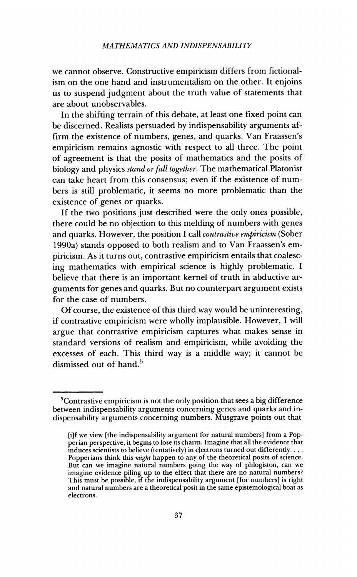we cannot observe. Constructive empiricism differs from fictionalism on the one hand and instrumentalism on the other. It enioins us to suspend judgment about the truth value of statements that are about unobservables.

In the shifting terrain of this debate, at least one fixed point can be discerned. Realists persuaded by indispensability arguments affirm the existence of numbers, genes, and quarks. Van Fraassen's empiricism remains agnostic with respect to all three. The point of agreement is that the posits of mathematics and the posits of biology and physics *stand or fall together*. The mathematical Platonist can take heart from this consensus; even if the existence of numbers is still problematic, it seems no more problematic than the existence of genes or quarks.

If the two positions just described were the only ones possible, there could be no objection to this melding of numbers with genes and quarks. However, the position I call *contrastive empiricism* (Sober 1990a) stands opposed to both realism and to Van Fraassen's empiricism. As it turns out, contrastive empiricism entails that coalescing mathematics with empirical science is highly problematic. I believe that there is an important kernel of truth in abductive arguments for genes and quarks. But no counterpart argument exists for the case of numbers.

Of course, the existence of this third way would be uninteresting. if contrastive empiricism were wholly implausible. However, I will argue that contrastive empiricism captures what makes sense in standard versions of realism and empiricism, while avoiding the excesses of each. This third way is a middle way; it cannot be dismissed out of hand.<sup>5</sup>

<sup>&</sup>lt;sup>5</sup>Contrastive empiricism is not the only position that sees a big difference between indispensability arguments concerning genes and quarks and indispensability arguments concerning numbers. Musgrave points out that

filf we view [the indispensability argument for natural numbers] from a Popperian perspective, it begins to lose its charm. Imagine that all the evidence that  $induces$  scientists to believe (tentatively) in electrons turned out differently.  $\dots$ Popperians think this *might* happen to any of the theoretical posits of science. But can we imagine natural numbers going the way of phlogiston, can we imagine evidence piling up to the effect that there are no natural numbers? This must be possible, if the indispensability argument [for numbers] is right and natural numbers are a theoretical posit in the same epistemological boat as electrons.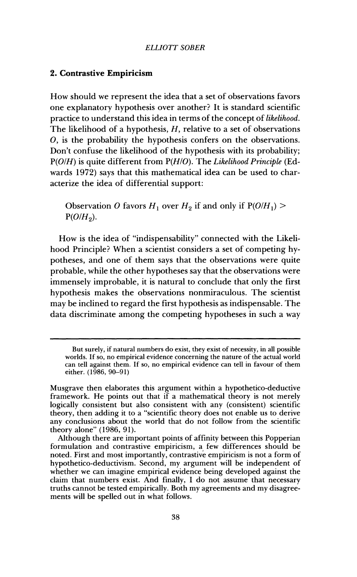#### 2. Contrastive Empiricism

How should we represent the idea that a set of observations favors one explanatory hypothesis over another? It is standard scientific practice to understand this idea in terms of the concept of likelihood. The likelihood of a hypothesis,  $H$ , relative to a set of observations O, is the probability the hypothesis confers on the observations. Don't confuse the likelihood of the hypothesis with its probability;  $P(O/H)$  is quite different from  $P(H/O)$ . The Likelihood Principle (Edwards 1972) says that this mathematical idea can be used to characterize the idea of differential support:

Observation O favors  $H_1$  over  $H_2$  if and only if  $P(O/H_1)$  $P(O/H_2)$ .

How is the idea of "indispensability" connected with the Likelihood Principle? When a scientist considers a set of competing hypotheses, and one of them says that the observations were quite probable, while the other hypotheses say that the observations were immensely improbable, it is natural to conclude that only the first hypothesis makes the observations nonmiraculous. The scientist may be inclined to regard the first hypothesis as indispensable. The data discriminate among the competing hypotheses in such a way

But surely, if natural numbers do exist, they exist of necessity, in all possible worlds. If so, no empirical evidence concerning the nature of the actual world can tell against them. If so, no empirical evidence can tell in favour of them either. (1986, 90–91)

Musgrave then elaborates this argument within a hypothetico-deductive framework. He points out that if a mathematical theory is not merely logically consistent but also consistent with any (consistent) scientific theory, then adding it to a "scientific theory does not enable us to derive any conclusions about the world that do not follow from the scientific theory alone" (1986, 91).

Although there are important points of affinity between this Popperian formulation and contrastive empiricism, a few differences should be noted. First and most importantly, contrastive empiricism is not a form of hypothetico-deductivism. Second, my argument will be independent of whether we can imagine empirical evidence being developed against the claim that numbers exist. And finally, I do not assume that necessary truths cannot be tested empirically. Both my agreements and my disagreements will be spelled out in what follows.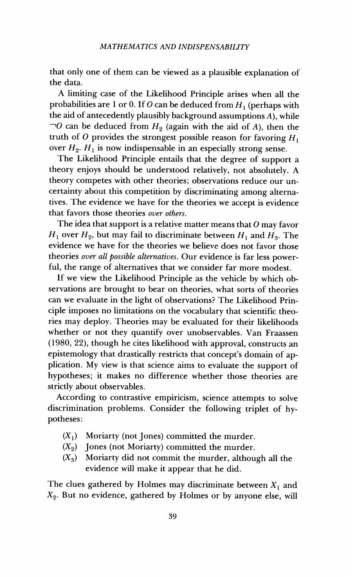that only one of them can be viewed as a plausible explanation of the data.

A limiting case of the Likelihood Principle arises when all the probabilities are 1 or 0. If O can be deduced from  $H_1$  (perhaps with the aid of antecedently plausibly background assumptions  $A$ ), while  $\neg$ O can be deduced from  $H_2$  (again with the aid of A), then the truth of O provides the strongest possible reason for favoring  $H_1$ over  $H_2$ .  $H_1$  is now indispensable in an especially strong sense.

The Likelihood Principle entails that the degree of support a theory enjoys should be understood relatively, not absolutely. A theory competes with other theories; observations reduce our uncertainty about this competition by discriminating among alternatives. The evidence we have for the theories we accept is evidence that favors those theories over others.

The idea that support is a relative matter means that  $O$  may favor  $H_1$  over  $H_2$ , but may fail to discriminate between  $H_1$  and  $H_3$ . The evidence we have for the theories we believe does not favor those theories over all possible alternatives. Our evidence is far less powerful, the range of alternatives that we consider far more modest.

If we view the Likelihood Principle as the vehicle by which observations are brought to bear on theories, what sorts of theories can we evaluate in the light of observations? The Likelihood Principle imposes no limitations on the vocabulary that scientific theories may deploy. Theories may be evaluated for their likelihoods whether or not they quantify over unobservables. Van Fraassen (1980, 22), though he cites likelihood with approval, constructs an epistemology that drastically restricts that concept's domain of application. My view is that science aims to evaluate the support of hypotheses; it makes no difference whether those theories are strictly about observables.

According to contrastive empiricism, science attempts to solve discrimination problems. Consider the following triplet of hypotheses:

- $(X_1)$  Moriarty (not Jones) committed the murder.
- $(X_2)$  Jones (not Moriarty) committed the murder.
- Moriarty did not commit the murder, although all the  $(X_3)$ evidence will make it appear that he did.

The clues gathered by Holmes may discriminate between  $X_1$  and  $X_2$ . But no evidence, gathered by Holmes or by anyone else, will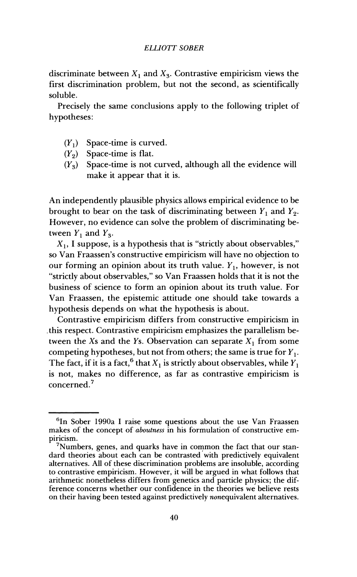discriminate between  $X_1$  and  $X_3$ . Contrastive empiricism views the first discrimination problem, but not the second, as scientifically soluble.

Precisely the same conclusions apply to the following triplet of hypotheses:

- $(Y_1)$  Space-time is curved.
- $(Y_2)$  Space-time is flat.
- $(Y_3)$  Space-time is not curved, although all the evidence will make it appear that it is.

An independently plausible physics allows empirical evidence to be brought to bear on the task of discriminating between  $Y_1$  and  $Y_2$ . However, no evidence can solve the problem of discriminating between  $Y_1$  and  $Y_3$ .

 $X_1$ , I suppose, is a hypothesis that is "strictly about observables," so Van Fraassen's constructive empiricism will have no objection to our forming an opinion about its truth value.  $Y_1$ , however, is not "strictly about observables," so Van Fraassen holds that it is not the business of science to form an opinion about its truth value. For Van Fraassen, the epistemic attitude one should take towards a hypothesis depends on what the hypothesis is about.

Contrastive empiricism differs from constructive empiricism in this respect. Contrastive empiricism emphasizes the parallelism between the Xs and the Ys. Observation can separate  $X_1$  from some competing hypotheses, but not from others; the same is true for  $Y_1$ . The fact, if it is a fact, <sup>6</sup> that  $X_1$  is strictly about observables, while  $Y_1$ is not, makes no difference, as far as contrastive empiricism is concerned.<sup>7</sup>

<sup>&</sup>lt;sup>6</sup>In Sober 1990a I raise some questions about the use Van Fraassen makes of the concept of *aboutness* in his formulation of constructive empiricism.

<sup>&</sup>lt;sup>7</sup>Numbers, genes, and quarks have in common the fact that our standard theories about each can be contrasted with predictively equivalent alternatives. All of these discrimination problems are insoluble, according to contrastive empiricism. However, it will be argued in what follows that arithmetic nonetheless differs from genetics and particle physics; the difference concerns whether our confidence in the theories we believe rests on their having been tested against predictively nonequivalent alternatives.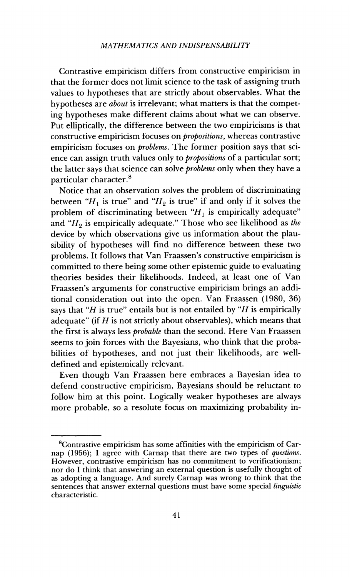Contrastive empiricism differs from constructive empiricism in that the former does not limit science to the task of assigning truth values to hypotheses that are strictly about observables. What the hypotheses are *about* is irrelevant; what matters is that the competing hypotheses make different claims about what we can observe. Put elliptically, the difference between the two empiricisms is that constructive empiricism focuses on *propositions*, whereas contrastive empiricism focuses on *broblems*. The former position says that science can assign truth values only to *propositions* of a particular sort; the latter says that science can solve *problems* only when they have a particular character.<sup>8</sup>

Notice that an observation solves the problem of discriminating between " $H_1$  is true" and " $H_2$  is true" if and only if it solves the problem of discriminating between " $H_1$  is empirically adequate" and " $H_2$  is empirically adequate." Those who see likelihood as the device by which observations give us information about the plausibility of hypotheses will find no difference between these two problems. It follows that Van Fraassen's constructive empiricism is committed to there being some other epistemic guide to evaluating theories besides their likelihoods. Indeed, at least one of Van Fraassen's arguments for constructive empiricism brings an additional consideration out into the open. Van Fraassen (1980, 36) says that "H is true" entails but is not entailed by "H is empirically adequate" (if  $H$  is not strictly about observables), which means that the first is always less *probable* than the second. Here Van Fraassen seems to join forces with the Bayesians, who think that the probabilities of hypotheses, and not just their likelihoods, are welldefined and epistemically relevant.

Even though Van Fraassen here embraces a Bayesian idea to defend constructive empiricism, Bayesians should be reluctant to follow him at this point. Logically weaker hypotheses are always more probable, so a resolute focus on maximizing probability in-

<sup>&</sup>lt;sup>8</sup>Contrastive empiricism has some affinities with the empiricism of Carnap (1956); I agree with Carnap that there are two types of questions. However, contrastive empiricism has no commitment to verificationism; nor do I think that answering an external question is usefully thought of as adopting a language. And surely Carnap was wrong to think that the sentences that answer external questions must have some special *linguistic* characteristic.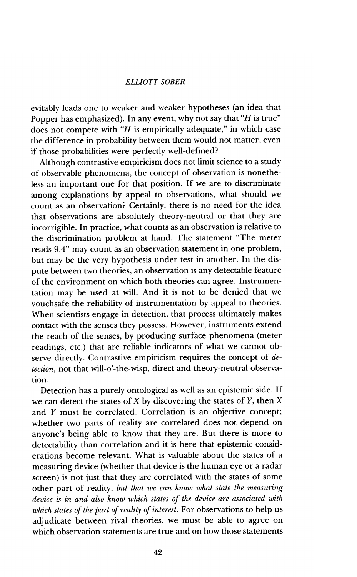evitably leads one to weaker and weaker hypotheses (an idea that Popper has emphasized). In any event, why not say that "H is true" does not compete with " $H$  is empirically adequate," in which case the difference in probability between them would not matter, even if those probabilities were perfectly well-defined?

Although contrastive empiricism does not limit science to a study of observable phenomena, the concept of observation is nonetheless an important one for that position. If we are to discriminate among explanations by appeal to observations, what should we count as an observation? Certainly, there is no need for the idea that observations are absolutely theory-neutral or that they are incorrigible. In practice, what counts as an observation is relative to the discrimination problem at hand. The statement "The meter reads 9.4" may count as an observation statement in one problem, but may be the very hypothesis under test in another. In the dispute between two theories, an observation is any detectable feature of the environment on which both theories can agree. Instrumentation may be used at will. And it is not to be denied that we vouchsafe the reliability of instrumentation by appeal to theories. When scientists engage in detection, that process ultimately makes contact with the senses they possess. However, instruments extend the reach of the senses, by producing surface phenomena (meter readings, etc.) that are reliable indicators of what we cannot observe directly. Contrastive empiricism requires the concept of  $de$ tection, not that will-o'-the-wisp, direct and theory-neutral observation.

Detection has a purely ontological as well as an epistemic side. If we can detect the states of  $X$  by discovering the states of  $Y$ , then  $X$ and  $Y$  must be correlated. Correlation is an objective concept: whether two parts of reality are correlated does not depend on anyone's being able to know that they are. But there is more to detectability than correlation and it is here that epistemic considerations become relevant. What is valuable about the states of a measuring device (whether that device is the human eye or a radar screen) is not just that they are correlated with the states of some other part of reality, but that we can know what state the measuring device is in and also know which states of the device are associated with which states of the part of reality of interest. For observations to help us adjudicate between rival theories, we must be able to agree on which observation statements are true and on how those statements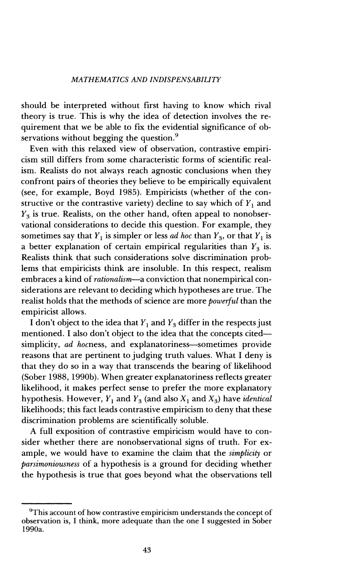should be interpreted without first having to know which rival theory is true. This is why the idea of detection involves the requirement that we be able to fix the evidential significance of observations without begging the question.<sup>9</sup>

Even with this relaxed view of observation, contrastive empiricism still differs from some characteristic forms of scientific realism. Realists do not always reach agnostic conclusions when they confront pairs of theories they believe to be empirically equivalent (see, for example, Boyd 1985). Empiricists (whether of the constructive or the contrastive variety) decline to say which of  $Y_1$  and  $Y_3$  is true. Realists, on the other hand, often appeal to nonobservational considerations to decide this question. For example, they sometimes say that  $Y_1$  is simpler or less *ad hoc* than  $Y_3$ , or that  $Y_1$  is a better explanation of certain empirical regularities than  $Y_3$  is. Realists think that such considerations solve discrimination problems that empiricists think are insoluble. In this respect, realism embraces a kind of *rationalism*—a conviction that nonempirical considerations are relevant to deciding which hypotheses are true. The realist holds that the methods of science are more *powerful* than the empiricist allows.

I don't object to the idea that  $Y_1$  and  $Y_3$  differ in the respects just mentioned. I also don't object to the idea that the concepts citedsimplicity, ad hocness, and explanatoriness-sometimes provide reasons that are pertinent to judging truth values. What I deny is that they do so in a way that transcends the bearing of likelihood (Sober 1988, 1990b). When greater explanatoriness reflects greater likelihood, it makes perfect sense to prefer the more explanatory hypothesis. However,  $Y_1$  and  $Y_3$  (and also  $X_1$  and  $X_3$ ) have *identical* likelihoods; this fact leads contrastive empiricism to deny that these discrimination problems are scientifically soluble.

A full exposition of contrastive empiricism would have to consider whether there are nonobservational signs of truth. For example, we would have to examine the claim that the *simplicity* or parsimoniousness of a hypothesis is a ground for deciding whether the hypothesis is true that goes beyond what the observations tell

<sup>&</sup>lt;sup>9</sup>This account of how contrastive empiricism understands the concept of observation is, I think, more adequate than the one I suggested in Sober 1990a.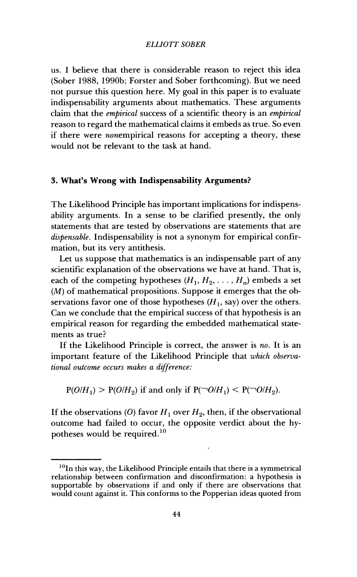us. I believe that there is considerable reason to reject this idea (Sober 1988, 1990b; Forster and Sober forthcoming). But we need not pursue this question here. My goal in this paper is to evaluate indispensability arguments about mathematics. These arguments claim that the *embirical* success of a scientific theory is an *embirical* reason to regard the mathematical claims it embeds as true. So even if there were *nonempirical* reasons for accepting a theory, these would not be relevant to the task at hand.

## 3. What's Wrong with Indispensability Arguments?

The Likelihood Principle has important implications for indispensability arguments. In a sense to be clarified presently, the only statements that are tested by observations are statements that are dispensable. Indispensability is not a synonym for empirical confirmation, but its very antithesis.

Let us suppose that mathematics is an indispensable part of any scientific explanation of the observations we have at hand. That is, each of the competing hypotheses  $(H_1, H_2, \ldots, H_n)$  embeds a set  $(M)$  of mathematical propositions. Suppose it emerges that the observations favor one of those hypotheses  $(H_1, say)$  over the others. Can we conclude that the empirical success of that hypothesis is an empirical reason for regarding the embedded mathematical statements as true?

If the Likelihood Principle is correct, the answer is no. It is an important feature of the Likelihood Principle that which observational outcome occurs makes a difference:

 $P(O/H_1) > P(O/H_2)$  if and only if  $P(\neg O/H_1) < P(\neg O/H_2)$ .

If the observations (O) favor  $H_1$  over  $H_2$ , then, if the observational outcome had failed to occur, the opposite verdict about the hypotheses would be required.<sup>10</sup>

 $10$ In this way, the Likelihood Principle entails that there is a symmetrical relationship between confirmation and disconfirmation: a hypothesis is supportable by observations if and only if there are observations that would count against it. This conforms to the Popperian ideas quoted from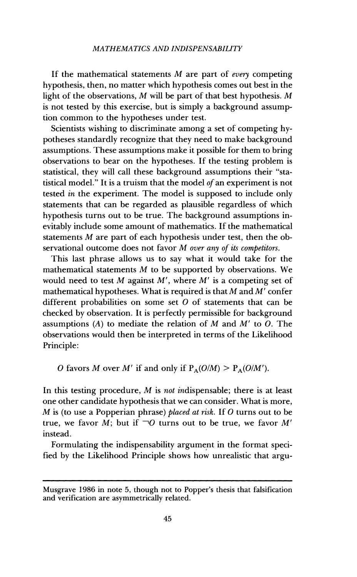#### MATHEMATICS AND INDISPENSABILITY

If the mathematical statements  $M$  are part of every competing hypothesis, then, no matter which hypothesis comes out best in the light of the observations,  $M$  will be part of that best hypothesis.  $M$ is not tested by this exercise, but is simply a background assumption common to the hypotheses under test.

Scientists wishing to discriminate among a set of competing hypotheses standardly recognize that they need to make background assumptions. These assumptions make it possible for them to bring observations to bear on the hypotheses. If the testing problem is statistical, they will call these background assumptions their "statistical model." It is a truism that the model of an experiment is not tested in the experiment. The model is supposed to include only statements that can be regarded as plausible regardless of which hypothesis turns out to be true. The background assumptions inevitably include some amount of mathematics. If the mathematical statements  $M$  are part of each hypothesis under test, then the observational outcome does not favor M over any of its competitors.

This last phrase allows us to say what it would take for the mathematical statements  $M$  to be supported by observations. We would need to test  $M$  against  $M'$ , where  $M'$  is a competing set of mathematical hypotheses. What is required is that  $M$  and  $M'$  confer different probabilities on some set  $O$  of statements that can be checked by observation. It is perfectly permissible for background assumptions (A) to mediate the relation of  $M$  and  $M'$  to  $O$ . The observations would then be interpreted in terms of the Likelihood Principle:

O favors M over M' if and only if  $P_A(O/M) > P_A(O/M')$ .

In this testing procedure,  $M$  is *not indispensable*; there is at least one other candidate hypothesis that we can consider. What is more,  $M$  is (to use a Popperian phrase) placed at risk. If  $O$  turns out to be true, we favor M; but if  $\neg O$  turns out to be true, we favor M' instead.

Formulating the indispensability argument in the format specified by the Likelihood Principle shows how unrealistic that argu-

Musgrave 1986 in note 5, though not to Popper's thesis that falsification and verification are asymmetrically related.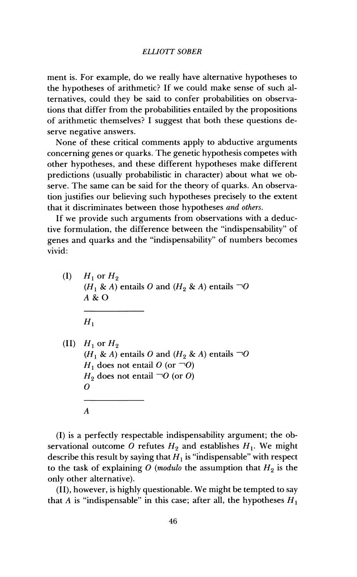ment is. For example, do we really have alternative hypotheses to the hypotheses of arithmetic? If we could make sense of such alternatives, could they be said to confer probabilities on observations that differ from the probabilities entailed by the propositions of arithmetic themselves? I suggest that both these questions deserve negative answers.

None of these critical comments apply to abductive arguments concerning genes or quarks. The genetic hypothesis competes with other hypotheses, and these different hypotheses make different predictions (usually probabilistic in character) about what we observe. The same can be said for the theory of quarks. An observation justifies our believing such hypotheses precisely to the extent that it discriminates between those hypotheses and others.

If we provide such arguments from observations with a deductive formulation, the difference between the "indispensability" of genes and quarks and the "indispensability" of numbers becomes vivid:

 $(I)$  $H_1$  or  $H_2$  $(H_1 \& A)$  entails O and  $(H_2 \& A)$  entails  $\neg O$  $A & O$  $H_1$ (II)  $H_1$  or  $H_2$  $(H_1 \& A)$  entails O and  $(H_2 \& A)$  entails  $\neg O$  $H_1$  does not entail O (or  $\neg$ O)  $H_2$  does not entail  $\neg O$  (or O)  $\boldsymbol{O}$  $\boldsymbol{A}$ 

(I) is a perfectly respectable indispensability argument; the observational outcome O refutes  $H_2$  and establishes  $H_1$ . We might describe this result by saying that  $H_1$  is "indispensable" with respect to the task of explaining O (modulo the assumption that  $H_2$  is the only other alternative).

(II), however, is highly questionable. We might be tempted to say that A is "indispensable" in this case; after all, the hypotheses  $H_1$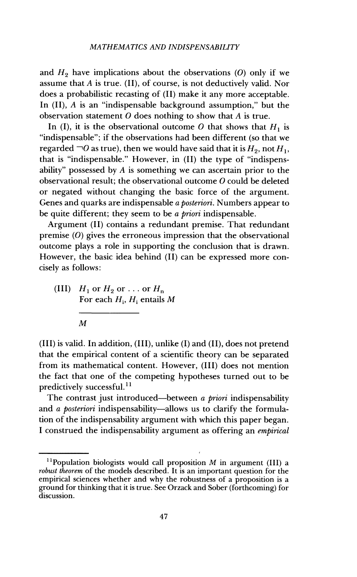and  $H_2$  have implications about the observations (O) only if we assume that  $A$  is true. (II), of course, is not deductively valid. Nor does a probabilistic recasting of (II) make it any more acceptable. In  $(II)$ , A is an "indispensable background assumption," but the observation statement  $O$  does nothing to show that  $A$  is true.

In (I), it is the observational outcome O that shows that  $H_1$  is "indispensable"; if the observations had been different (so that we regarded  $\neg$ O as true), then we would have said that it is  $H_9$ , not  $H_1$ . that is "indispensable." However, in (II) the type of "indispensability" possessed by  $A$  is something we can ascertain prior to the observational result; the observational outcome O could be deleted or negated without changing the basic force of the argument. Genes and quarks are indispensable a posteriori. Numbers appear to be quite different; they seem to be a priori indispensable.

Argument (II) contains a redundant premise. That redundant premise  $(0)$  gives the erroneous impression that the observational outcome plays a role in supporting the conclusion that is drawn. However, the basic idea behind (II) can be expressed more concisely as follows:

(III)  $H_1$  or  $H_2$  or ... or  $H_n$ For each  $H_i$ ,  $H_i$  entails M

(III) is valid. In addition, (III), unlike (I) and (II), does not pretend that the empirical content of a scientific theory can be separated from its mathematical content. However, (III) does not mention the fact that one of the competing hypotheses turned out to be predictively successful.<sup>11</sup>

The contrast just introduced—between a priori indispensability and a posteriori indispensability—allows us to clarify the formulation of the indispensability argument with which this paper began. I construed the indispensability argument as offering an empirical

 $\boldsymbol{M}$ 

<sup>&</sup>lt;sup>11</sup>Population biologists would call proposition  $M$  in argument (III) a *robust theorem* of the models described. It is an important question for the empirical sciences whether and why the robustness of a proposition is a ground for thinking that it is true. See Orzack and Sober (forthcoming) for discussion.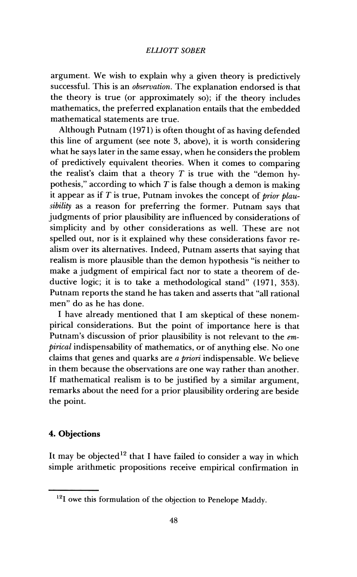argument. We wish to explain why a given theory is predictively successful. This is an *observation*. The explanation endorsed is that the theory is true (or approximately so); if the theory includes mathematics, the preferred explanation entails that the embedded mathematical statements are true.

Although Putnam (1971) is often thought of as having defended this line of argument (see note 3, above), it is worth considering what he says later in the same essay, when he considers the problem of predictively equivalent theories. When it comes to comparing the realist's claim that a theory  $T$  is true with the "demon hypothesis," according to which  $T$  is false though a demon is making it appear as if  $T$  is true, Putnam invokes the concept of *prior plau*sibility as a reason for preferring the former. Putnam says that judgments of prior plausibility are influenced by considerations of simplicity and by other considerations as well. These are not spelled out, nor is it explained why these considerations favor realism over its alternatives. Indeed, Putnam asserts that saving that realism is more plausible than the demon hypothesis "is neither to make a judgment of empirical fact nor to state a theorem of deductive logic; it is to take a methodological stand" (1971, 353). Putnam reports the stand he has taken and asserts that "all rational" men" do as he has done.

I have already mentioned that I am skeptical of these nonempirical considerations. But the point of importance here is that Putnam's discussion of prior plausibility is not relevant to the em*pirical* indispensability of mathematics, or of anything else. No one claims that genes and quarks are a priori indispensable. We believe in them because the observations are one way rather than another. If mathematical realism is to be justified by a similar argument, remarks about the need for a prior plausibility ordering are beside the point.

## 4. Objections

It may be objected<sup>12</sup> that I have failed to consider a way in which simple arithmetic propositions receive empirical confirmation in

<sup>&</sup>lt;sup>12</sup>I owe this formulation of the objection to Penelope Maddy.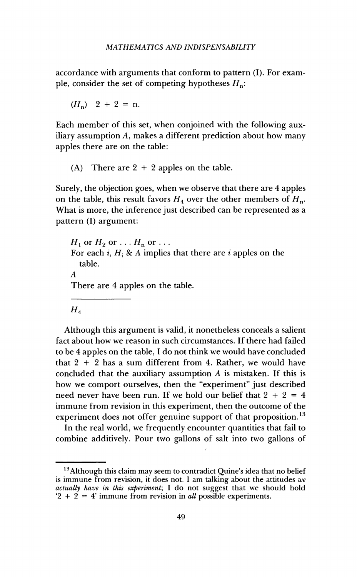accordance with arguments that conform to pattern (I). For example, consider the set of competing hypotheses  $H_n$ :

 $(H_n)$  2 + 2 = n.

Each member of this set, when conjoined with the following auxiliary assumption A, makes a different prediction about how many apples there are on the table:

(A) There are  $2 + 2$  apples on the table.

Surely, the objection goes, when we observe that there are 4 apples on the table, this result favors  $H_4$  over the other members of  $H_n$ . What is more, the inference just described can be represented as a pattern (I) argument:

 $H_1$  or  $H_2$  or  $\ldots$   $H_n$  or  $\ldots$ For each i,  $H_i$  & A implies that there are i apples on the table.  $\boldsymbol{A}$ There are 4 apples on the table.

 $H_{4}$ 

Although this argument is valid, it nonetheless conceals a salient fact about how we reason in such circumstances. If there had failed to be 4 apples on the table. I do not think we would have concluded that  $2 + 2$  has a sum different from 4. Rather, we would have concluded that the auxiliary assumption  $A$  is mistaken. If this is how we comport ourselves, then the "experiment" just described need never have been run. If we hold our belief that  $2 + 2 = 4$ immune from revision in this experiment, then the outcome of the experiment does not offer genuine support of that proposition.<sup>13</sup>

In the real world, we frequently encounter quantities that fail to combine additively. Pour two gallons of salt into two gallons of

<sup>&</sup>lt;sup>13</sup>Although this claim may seem to contradict Quine's idea that no belief is immune from revision, it does not. I am talking about the attitudes  $we$ actually have in this experiment; I do not suggest that we should hold  $2 + 2 = 4$  immune from revision in all possible experiments.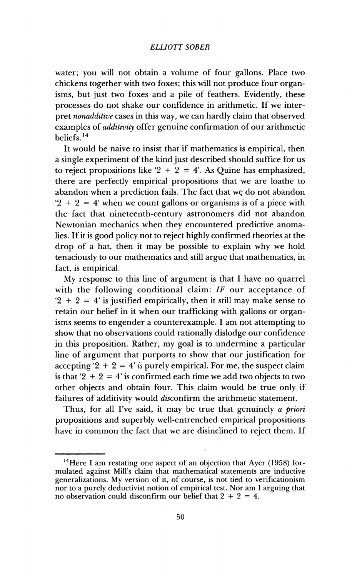water; you will not obtain a volume of four gallons. Place two chickens together with two foxes: this will not produce four organisms, but just two foxes and a pile of feathers. Evidently, these processes do not shake our confidence in arithmetic. If we interpret nonadditive cases in this way, we can hardly claim that observed examples of *additivity* offer genuine confirmation of our arithmetic beliefs.<sup>14</sup>

It would be naive to insist that if mathematics is empirical, then a single experiment of the kind just described should suffice for us to reject propositions like  $2 + 2 = 4$ . As Ouine has emphasized, there are perfectly empirical propositions that we are loathe to abandon when a prediction fails. The fact that we do not abandon  $2 + 2 = 4$  when we count gallons or organisms is of a piece with the fact that nineteenth-century astronomers did not abandon Newtonian mechanics when they encountered predictive anomalies. If it is good policy not to reject highly confirmed theories at the drop of a hat, then it may be possible to explain why we hold tenaciously to our mathematics and still argue that mathematics, in fact, is empirical.

My response to this line of argument is that I have no quarrel with the following conditional claim:  $IF$  our acceptance of  $2 + 2 = 4$  is justified empirically, then it still may make sense to retain our belief in it when our trafficking with gallons or organisms seems to engender a counterexample. I am not attempting to show that no observations could rationally dislodge our confidence in this proposition. Rather, my goal is to undermine a particular line of argument that purports to show that our justification for accepting '2 + 2 = 4' is purely empirical. For me, the suspect claim is that '2 + 2 = 4' is confirmed each time we add two objects to two other objects and obtain four. This claim would be true only if failures of additivity would disconfirm the arithmetic statement.

Thus, for all I've said, it may be true that genuinely a priori propositions and superbly well-entrenched empirical propositions have in common the fact that we are disinclined to reject them. If

<sup>&</sup>lt;sup>14</sup>Here I am restating one aspect of an objection that Ayer (1958) formulated against Mill's claim that mathematical statements are inductive generalizations. My version of it, of course, is not tied to verificationism nor to a purely deductivist notion of empirical test. Nor am I arguing that no observation could disconfirm our belief that  $2 + 2 = 4$ .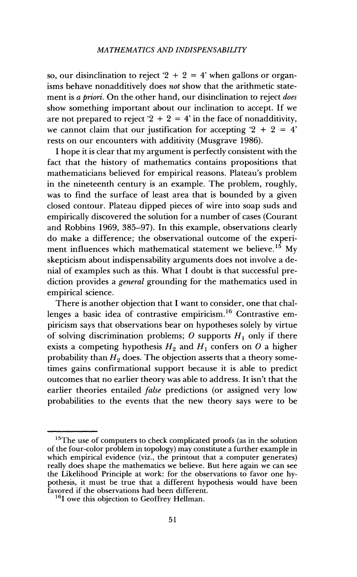so, our disinclination to reject  $2 + 2 = 4$  when gallons or organisms behave nonadditively does not show that the arithmetic statement is a priori. On the other hand, our disinclination to reject does show something important about our inclination to accept. If we are not prepared to reject '2 + 2 = 4' in the face of nonadditivity, we cannot claim that our justification for accepting  $2 + 2 = 4$ rests on our encounters with additivity (Musgrave 1986).

I hope it is clear that my argument is perfectly consistent with the fact that the history of mathematics contains propositions that mathematicians believed for empirical reasons. Plateau's problem in the nineteenth century is an example. The problem, roughly, was to find the surface of least area that is bounded by a given closed contour. Plateau dipped pieces of wire into soap suds and empirically discovered the solution for a number of cases (Courant and Robbins 1969, 385-97). In this example, observations clearly do make a difference; the observational outcome of the experiment influences which mathematical statement we believe.<sup>15</sup> My skepticism about indispensability arguments does not involve a denial of examples such as this. What I doubt is that successful prediction provides a *general* grounding for the mathematics used in empirical science.

There is another objection that I want to consider, one that challenges a basic idea of contrastive empiricism.<sup>16</sup> Contrastive empiricism says that observations bear on hypotheses solely by virtue of solving discrimination problems; O supports  $H_1$  only if there exists a competing hypothesis  $H_2$  and  $H_1$  confers on O a higher probability than  $H_2$  does. The objection asserts that a theory sometimes gains confirmational support because it is able to predict outcomes that no earlier theory was able to address. It isn't that the earlier theories entailed *false* predictions (or assigned very low probabilities to the events that the new theory says were to be

 $15$ The use of computers to check complicated proofs (as in the solution of the four-color problem in topology) may constitute a further example in which empirical evidence (viz., the printout that a computer generates) really does shape the mathematics we believe. But here again we can see the Likelihood Principle at work: for the observations to favor one hypothesis, it must be true that a different hypothesis would have been favored if the observations had been different.

<sup>&</sup>lt;sup>16</sup>I owe this objection to Geoffrey Hellman.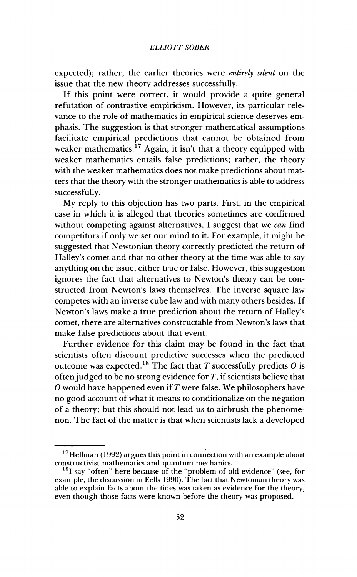expected); rather, the earlier theories were *entirely silent* on the issue that the new theory addresses successfully.

If this point were correct, it would provide a quite general refutation of contrastive empiricism. However, its particular relevance to the role of mathematics in empirical science deserves emphasis. The suggestion is that stronger mathematical assumptions facilitate empirical predictions that cannot be obtained from weaker mathematics.<sup>17</sup> Again, it isn't that a theory equipped with weaker mathematics entails false predictions; rather, the theory with the weaker mathematics does not make predictions about matters that the theory with the stronger mathematics is able to address successfully.

My reply to this objection has two parts. First, in the empirical case in which it is alleged that theories sometimes are confirmed without competing against alternatives, I suggest that we can find competitors if only we set our mind to it. For example, it might be suggested that Newtonian theory correctly predicted the return of Halley's comet and that no other theory at the time was able to say anything on the issue, either true or false. However, this suggestion ignores the fact that alternatives to Newton's theory can be constructed from Newton's laws themselves. The inverse square law competes with an inverse cube law and with many others besides. If Newton's laws make a true prediction about the return of Halley's comet, there are alternatives constructable from Newton's laws that make false predictions about that event.

Further evidence for this claim may be found in the fact that scientists often discount predictive successes when the predicted outcome was expected.<sup>18</sup> The fact that T successfully predicts  $O$  is often judged to be no strong evidence for  $T$ , if scientists believe that  $O$  would have happened even if  $T$  were false. We philosophers have no good account of what it means to conditionalize on the negation of a theory; but this should not lead us to airbrush the phenomenon. The fact of the matter is that when scientists lack a developed

 $17$  Hellman (1992) argues this point in connection with an example about constructivist mathematics and quantum mechanics.

<sup>&</sup>lt;sup>18</sup>I say "often" here because of the "problem of old evidence" (see, for example, the discussion in Eells 1990). The fact that Newtonian theory was able to explain facts about the tides was taken as evidence for the theory, even though those facts were known before the theory was proposed.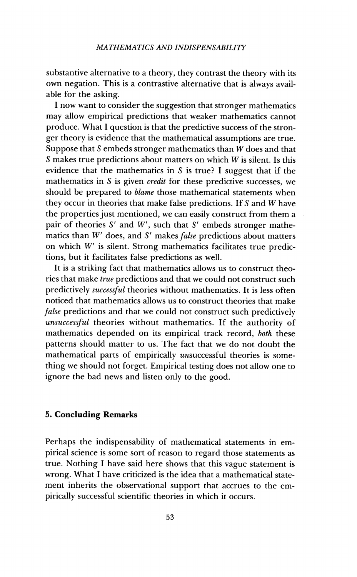substantive alternative to a theory, they contrast the theory with its own negation. This is a contrastive alternative that is always available for the asking.

I now want to consider the suggestion that stronger mathematics may allow empirical predictions that weaker mathematics cannot produce. What I question is that the predictive success of the stronger theory is evidence that the mathematical assumptions are true. Suppose that S embeds stronger mathematics than  $\overline{W}$  does and that S makes true predictions about matters on which  $W$  is silent. Is this evidence that the mathematics in  $S$  is true? I suggest that if the mathematics in S is given *credit* for these predictive successes, we should be prepared to *blame* those mathematical statements when they occur in theories that make false predictions. If S and W have the properties just mentioned, we can easily construct from them a pair of theories  $S'$  and  $W'$ , such that  $S'$  embeds stronger mathematics than W' does, and S' makes false predictions about matters on which W' is silent. Strong mathematics facilitates true predictions, but it facilitates false predictions as well.

It is a striking fact that mathematics allows us to construct theories that make *true* predictions and that we could not construct such predictively successful theories without mathematics. It is less often noticed that mathematics allows us to construct theories that make false predictions and that we could not construct such predictively unsuccessful theories without mathematics. If the authority of mathematics depended on its empirical track record, both these patterns should matter to us. The fact that we do not doubt the mathematical parts of empirically unsuccessful theories is something we should not forget. Empirical testing does not allow one to ignore the bad news and listen only to the good.

## **5. Concluding Remarks**

Perhaps the indispensability of mathematical statements in empirical science is some sort of reason to regard those statements as true. Nothing I have said here shows that this vague statement is wrong. What I have criticized is the idea that a mathematical statement inherits the observational support that accrues to the empirically successful scientific theories in which it occurs.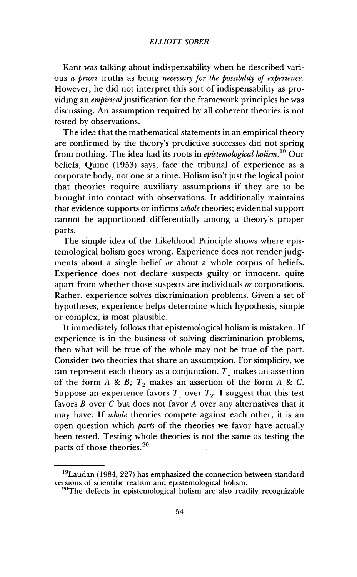Kant was talking about indispensability when he described various a priori truths as being necessary for the possibility of experience. However, he did not interpret this sort of indispensability as providing an *embirical* justification for the framework principles he was discussing. An assumption required by all coherent theories is not tested by observations.

The idea that the mathematical statements in an empirical theory are confirmed by the theory's predictive successes did not spring from nothing. The idea had its roots in *epistemological holism*.<sup>19</sup> Our beliefs, Quine (1953) says, face the tribunal of experience as a corporate body, not one at a time. Holism isn't just the logical point that theories require auxiliary assumptions if they are to be brought into contact with observations. It additionally maintains that evidence supports or infirms whole theories; evidential support cannot be apportioned differentially among a theory's proper parts.

The simple idea of the Likelihood Principle shows where epistemological holism goes wrong. Experience does not render judgments about a single belief or about a whole corpus of beliefs. Experience does not declare suspects guilty or innocent, quite apart from whether those suspects are individuals or corporations. Rather, experience solves discrimination problems. Given a set of hypotheses, experience helps determine which hypothesis, simple or complex, is most plausible.

It immediately follows that epistemological holism is mistaken. If experience is in the business of solving discrimination problems, then what will be true of the whole may not be true of the part. Consider two theories that share an assumption. For simplicity, we can represent each theory as a conjunction.  $T_1$  makes an assertion of the form  $A \& B$ ;  $T_2$  makes an assertion of the form  $A \& C$ . Suppose an experience favors  $T_1$  over  $T_2$ . I suggest that this test favors  $B$  over  $C$  but does not favor  $A$  over any alternatives that it may have. If whole theories compete against each other, it is an open question which *parts* of the theories we favor have actually been tested. Testing whole theories is not the same as testing the parts of those theories.<sup>20</sup>

<sup>&</sup>lt;sup>19</sup>Laudan (1984, 227) has emphasized the connection between standard versions of scientific realism and epistemological holism.

<sup>&</sup>lt;sup>20</sup>The defects in epistemological holism are also readily recognizable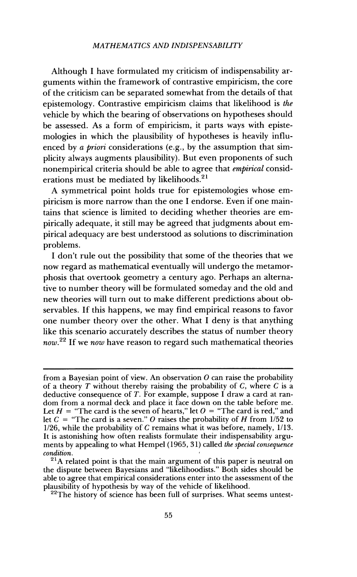Although I have formulated my criticism of indispensability arguments within the framework of contrastive empiricism, the core of the criticism can be separated somewhat from the details of that epistemology. Contrastive empiricism claims that likelihood is the vehicle by which the bearing of observations on hypotheses should be assessed. As a form of empiricism, it parts ways with epistemologies in which the plausibility of hypotheses is heavily influenced by a priori considerations (e.g., by the assumption that simplicity always augments plausibility). But even proponents of such nonempirical criteria should be able to agree that *empirical* considerations must be mediated by likelihoods. $21$ 

A symmetrical point holds true for epistemologies whose empiricism is more narrow than the one I endorse. Even if one maintains that science is limited to deciding whether theories are empirically adequate, it still may be agreed that judgments about empirical adequacy are best understood as solutions to discrimination problems.

I don't rule out the possibility that some of the theories that we now regard as mathematical eventually will undergo the metamorphosis that overtook geometry a century ago. Perhaps an alternative to number theory will be formulated someday and the old and new theories will turn out to make different predictions about observables. If this happens, we may find empirical reasons to favor one number theory over the other. What I deny is that anything like this scenario accurately describes the status of number theory  $now.<sup>22</sup>$  If we now have reason to regard such mathematical theories

from a Bayesian point of view. An observation  $O$  can raise the probability of a theory T without thereby raising the probability of C, where C is a deductive consequence of  $T$ . For example, suppose  $\vec{l}$  draw a card at random from a normal deck and place it face down on the table before me. Let  $H =$  "The card is the seven of hearts," let  $O =$  "The card is red," and let  $C =$  "The card is a seven." O raises the probability of H from 1/52 to  $1/26$ , while the probability of C remains what it was before, namely,  $1/13$ . It is astonishing how often realists formulate their indispensability arguments by appealing to what Hempel (1965, 31) called the special consequence condition.

 $^{21}$ A related point is that the main argument of this paper is neutral on the dispute between Bayesians and "likelihoodists." Both sides should be able to agree that empirical considerations enter into the assessment of the plausibility of hypothesis by way of the vehicle of likelihood.

<sup>&</sup>lt;sup>22</sup>The history of science has been full of surprises. What seems untest-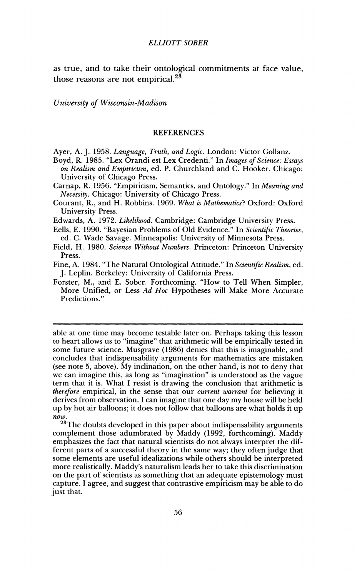as true, and to take their ontological commitments at face value, those reasons are not empirical. $2^{\frac{3}{2}}$ 

University of Wisconsin-Madison

#### **REFERENCES**

Ayer, A. J. 1958. Language, Truth, and Logic. London: Victor Gollanz.

- Bovd. R. 1985. "Lex Orandi est Lex Credenti." In Images of Science: Essays on Realism and Empiricism, ed. P. Churchland and C. Hooker. Chicago: University of Chicago Press.
- Carnap, R. 1956. "Empiricism, Semantics, and Ontology." In Meaning and Necessity. Chicago: University of Chicago Press.
- Courant, R., and H. Robbins. 1969. What is Mathematics? Oxford: Oxford University Press.
- Edwards, A. 1972. Likelihood. Cambridge: Cambridge University Press.
- Eells, E. 1990. "Bayesian Problems of Old Evidence." In Scientific Theories. ed. C. Wade Savage. Minneapolis: University of Minnesota Press.
- Field, H. 1980. Science Without Numbers. Princeton: Princeton University Press.
- Fine, A. 1984. "The Natural Ontological Attitude." In Scientific Realism, ed. J. Leplin. Berkeley: University of California Press.
- Forster, M., and E. Sober. Forthcoming. "How to Tell When Simpler, More Unified, or Less Ad Hoc Hypotheses will Make More Accurate Predictions."

able at one time may become testable later on. Perhaps taking this lesson to heart allows us to "imagine" that arithmetic will be empirically tested in some future science. Musgrave (1986) denies that this is imaginable, and concludes that indispensability arguments for mathematics are mistaken (see note 5, above). My inclination, on the other hand, is not to deny that we can imagine this, as long as "imagination" is understood as the vague term that it is. What I resist is drawing the conclusion that arithmetic is therefore empirical, in the sense that our current warrant for believing it derives from observation. I can imagine that one day my house will be held up by hot air balloons; it does not follow that balloons are what holds it up  $\overline{now}.$ 

<sup>23</sup>The doubts developed in this paper about indispensability arguments complement those adumbrated by Maddy (1992, forthcoming). Maddy emphasizes the fact that natural scientists do not always interpret the different parts of a successful theory in the same way; they often judge that some elements are useful idealizations while others should be interpreted more realistically. Maddy's naturalism leads her to take this discrimination on the part of scientists as something that an adequate epistemology must capture. I agree, and suggest that contrastive empiricism may be able to do just that.